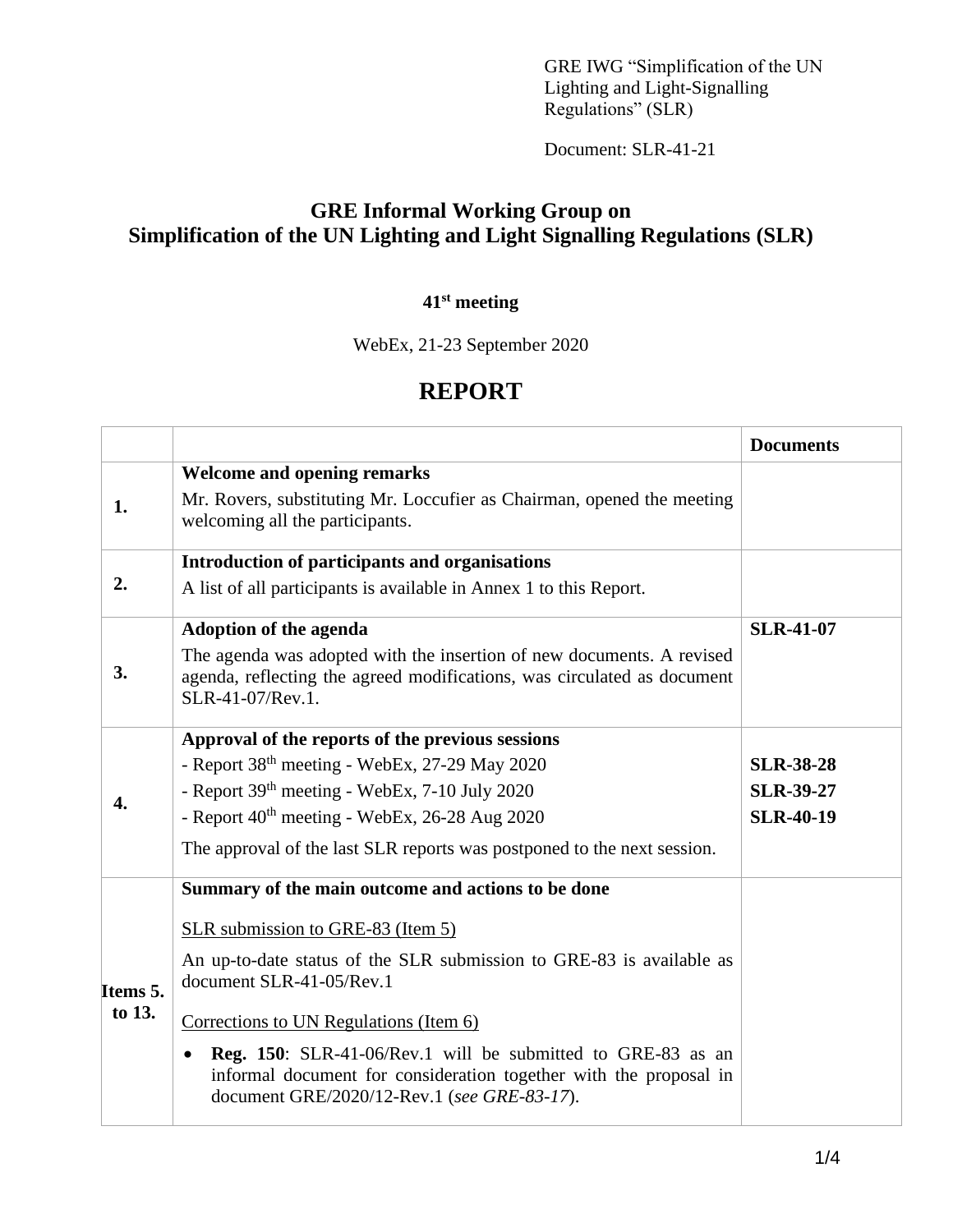GRE IWG "Simplification of the UN Lighting and Light-Signalling Regulations" (SLR)

Document: SLR-41-21

## **GRE Informal Working Group on Simplification of the UN Lighting and Light Signalling Regulations (SLR)**

#### **41 st meeting**

WebEx, 21-23 September 2020

# **REPORT**

|                    |                                                                                                                                                                                                     | <b>Documents</b> |
|--------------------|-----------------------------------------------------------------------------------------------------------------------------------------------------------------------------------------------------|------------------|
|                    | <b>Welcome and opening remarks</b>                                                                                                                                                                  |                  |
| 1.                 | Mr. Rovers, substituting Mr. Loccufier as Chairman, opened the meeting<br>welcoming all the participants.                                                                                           |                  |
| 2.                 | Introduction of participants and organisations                                                                                                                                                      |                  |
|                    | A list of all participants is available in Annex 1 to this Report.                                                                                                                                  |                  |
| 3.                 | <b>Adoption of the agenda</b>                                                                                                                                                                       | <b>SLR-41-07</b> |
|                    | The agenda was adopted with the insertion of new documents. A revised<br>agenda, reflecting the agreed modifications, was circulated as document<br>SLR-41-07/Rev.1.                                |                  |
| $\mathbf{4}$       | Approval of the reports of the previous sessions                                                                                                                                                    |                  |
|                    | - Report 38 <sup>th</sup> meeting - WebEx, 27-29 May 2020                                                                                                                                           | <b>SLR-38-28</b> |
|                    | - Report 39 <sup>th</sup> meeting - WebEx, 7-10 July 2020                                                                                                                                           | <b>SLR-39-27</b> |
|                    | - Report 40 <sup>th</sup> meeting - WebEx, 26-28 Aug 2020                                                                                                                                           | <b>SLR-40-19</b> |
|                    | The approval of the last SLR reports was postponed to the next session.                                                                                                                             |                  |
|                    | Summary of the main outcome and actions to be done                                                                                                                                                  |                  |
| Items 5.<br>to 13. | SLR submission to GRE-83 (Item 5)                                                                                                                                                                   |                  |
|                    | An up-to-date status of the SLR submission to GRE-83 is available as<br>document SLR-41-05/Rev.1                                                                                                    |                  |
|                    | Corrections to UN Regulations (Item 6)                                                                                                                                                              |                  |
|                    | <b>Reg. 150:</b> SLR-41-06/Rev.1 will be submitted to GRE-83 as an<br>$\bullet$<br>informal document for consideration together with the proposal in<br>document GRE/2020/12-Rev.1 (see GRE-83-17). |                  |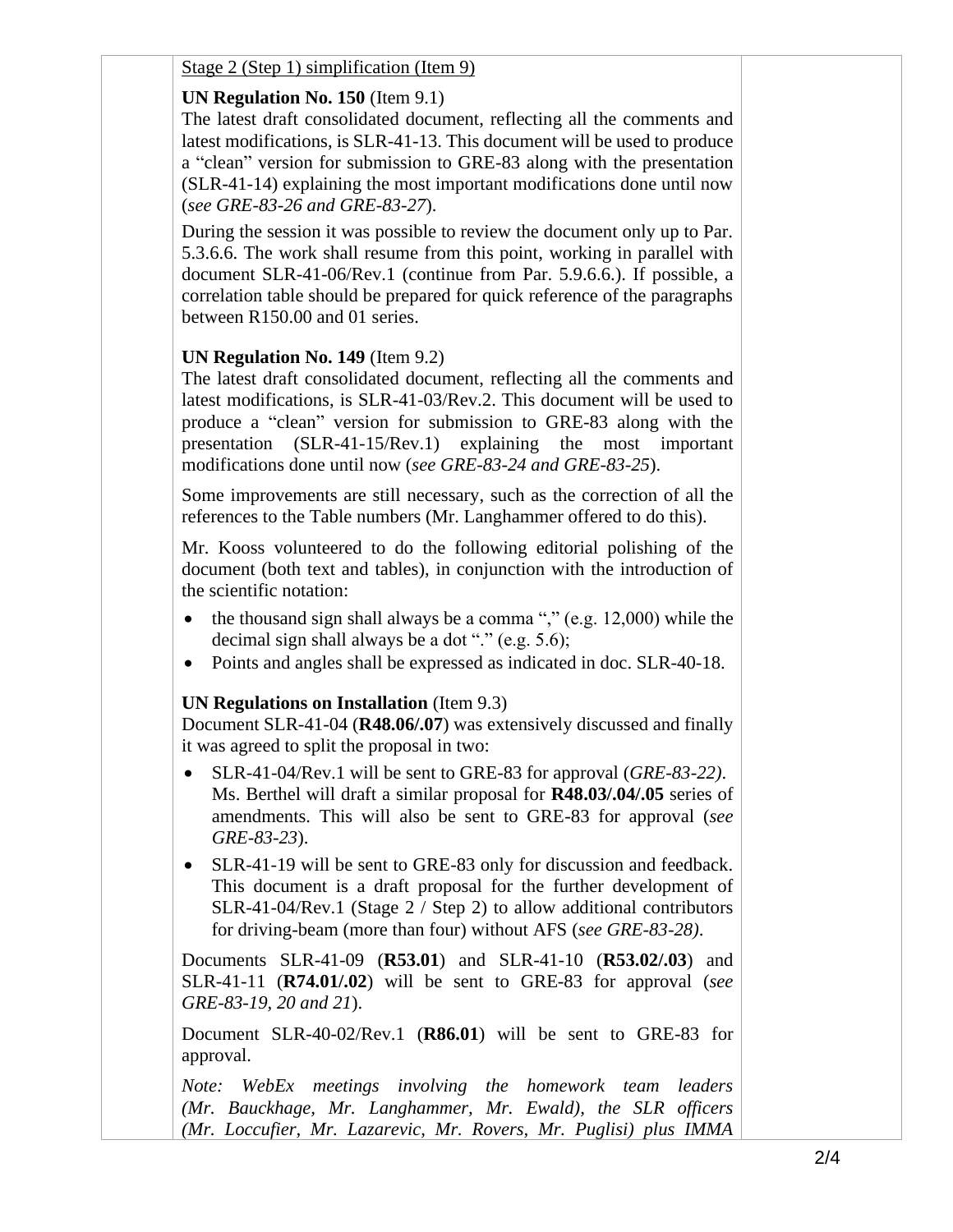Stage 2 (Step 1) simplification (Item 9)

### **UN Regulation No. 150** (Item 9.1)

The latest draft consolidated document, reflecting all the comments and latest modifications, is SLR-41-13. This document will be used to produce a "clean" version for submission to GRE-83 along with the presentation (SLR-41-14) explaining the most important modifications done until now (*see GRE-83-26 and GRE-83-27*).

During the session it was possible to review the document only up to Par. 5.3.6.6. The work shall resume from this point, working in parallel with document SLR-41-06/Rev.1 (continue from Par. 5.9.6.6.). If possible, a correlation table should be prepared for quick reference of the paragraphs between R150.00 and 01 series.

### **UN Regulation No. 149** (Item 9.2)

The latest draft consolidated document, reflecting all the comments and latest modifications, is SLR-41-03/Rev.2. This document will be used to produce a "clean" version for submission to GRE-83 along with the presentation (SLR-41-15/Rev.1) explaining the most important modifications done until now (*see GRE-83-24 and GRE-83-25*).

Some improvements are still necessary, such as the correction of all the references to the Table numbers (Mr. Langhammer offered to do this).

Mr. Kooss volunteered to do the following editorial polishing of the document (both text and tables), in conjunction with the introduction of the scientific notation:

- the thousand sign shall always be a comma "," (e.g.  $12,000$ ) while the decimal sign shall always be a dot "." (e.g. 5.6);
- Points and angles shall be expressed as indicated in doc. SLR-40-18.

### **UN Regulations on Installation** (Item 9.3)

Document SLR-41-04 (**R48.06/.07**) was extensively discussed and finally it was agreed to split the proposal in two:

- SLR-41-04/Rev.1 will be sent to GRE-83 for approval (*GRE-83-22)*. Ms. Berthel will draft a similar proposal for **R48.03/.04/.05** series of amendments. This will also be sent to GRE-83 for approval (*see GRE-83-23*).
- SLR-41-19 will be sent to GRE-83 only for discussion and feedback. This document is a draft proposal for the further development of SLR-41-04/Rev.1 (Stage 2 / Step 2) to allow additional contributors for driving-beam (more than four) without AFS (*see GRE-83-28)*.

Documents SLR-41-09 (**R53.01**) and SLR-41-10 (**R53.02/.03**) and SLR-41-11 (**R74.01/.02**) will be sent to GRE-83 for approval (*see GRE-83-19, 20 and 21*).

Document SLR-40-02/Rev.1 (**R86.01**) will be sent to GRE-83 for approval.

*Note: WebEx meetings involving the homework team leaders (Mr. Bauckhage, Mr. Langhammer, Mr. Ewald), the SLR officers (Mr. Loccufier, Mr. Lazarevic, Mr. Rovers, Mr. Puglisi) plus IMMA*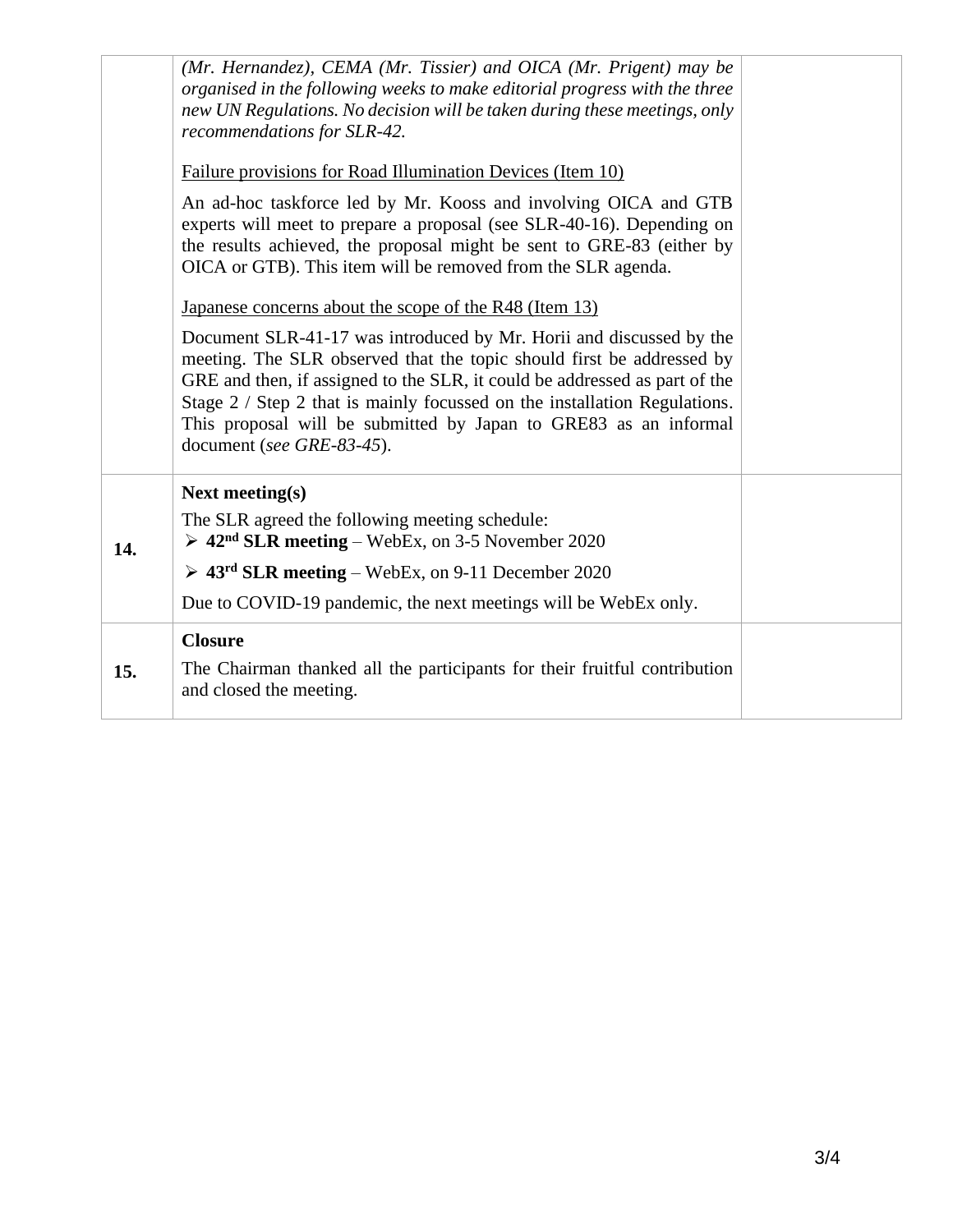| 15. | <b>Closure</b><br>The Chairman thanked all the participants for their fruitful contribution<br>and closed the meeting.                                                                                                                                                                                                                                                                                                                                                                                                                                                                                      |  |
|-----|-------------------------------------------------------------------------------------------------------------------------------------------------------------------------------------------------------------------------------------------------------------------------------------------------------------------------------------------------------------------------------------------------------------------------------------------------------------------------------------------------------------------------------------------------------------------------------------------------------------|--|
|     | $\geq 43^{rd}$ SLR meeting – WebEx, on 9-11 December 2020<br>Due to COVID-19 pandemic, the next meetings will be WebEx only.                                                                                                                                                                                                                                                                                                                                                                                                                                                                                |  |
| 14. | <b>Next meeting(s)</b><br>The SLR agreed the following meeting schedule:<br>$\geq 42nd$ SLR meeting – WebEx, on 3-5 November 2020                                                                                                                                                                                                                                                                                                                                                                                                                                                                           |  |
|     | the results achieved, the proposal might be sent to GRE-83 (either by<br>OICA or GTB). This item will be removed from the SLR agenda.<br>Japanese concerns about the scope of the R48 (Item 13)<br>Document SLR-41-17 was introduced by Mr. Horii and discussed by the<br>meeting. The SLR observed that the topic should first be addressed by<br>GRE and then, if assigned to the SLR, it could be addressed as part of the<br>Stage 2 / Step 2 that is mainly focussed on the installation Regulations.<br>This proposal will be submitted by Japan to GRE83 as an informal<br>document (see GRE-83-45). |  |
|     | (Mr. Hernandez), CEMA (Mr. Tissier) and OICA (Mr. Prigent) may be<br>organised in the following weeks to make editorial progress with the three<br>new UN Regulations. No decision will be taken during these meetings, only<br>recommendations for SLR-42.<br>Failure provisions for Road Illumination Devices (Item 10)<br>An ad-hoc taskforce led by Mr. Kooss and involving OICA and GTB<br>experts will meet to prepare a proposal (see SLR-40-16). Depending on                                                                                                                                       |  |